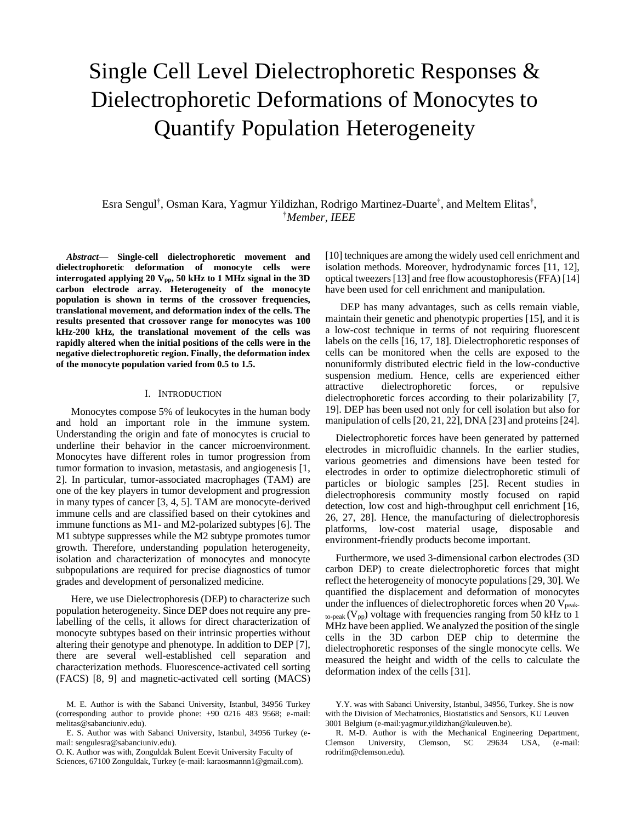# Single Cell Level Dielectrophoretic Responses & Dielectrophoretic Deformations of Monocytes to Quantify Population Heterogeneity

# Esra Sengul† , Osman Kara, Yagmur Yildizhan, Rodrigo Martinez-Duarte† , and Meltem Elitas† , †*Member, IEEE*

*Abstract***— Single-cell dielectrophoretic movement and dielectrophoretic deformation of monocyte cells were interrogated applying 20 Vpp, 50 kHz to 1 MHz signal in the 3D carbon electrode array. Heterogeneity of the monocyte population is shown in terms of the crossover frequencies, translational movement, and deformation index of the cells. The results presented that crossover range for monocytes was 100 kHz-200 kHz, the translational movement of the cells was rapidly altered when the initial positions of the cells were in the negative dielectrophoretic region. Finally, the deformation index of the monocyte population varied from 0.5 to 1.5.** 

## I. INTRODUCTION

Monocytes compose 5% of leukocytes in the human body and hold an important role in the immune system. Understanding the origin and fate of monocytes is crucial to underline their behavior in the cancer microenvironment. Monocytes have different roles in tumor progression from tumor formation to invasion, metastasis, and angiogenesis [1, 2]. In particular, tumor-associated macrophages (TAM) are one of the key players in tumor development and progression in many types of cancer [3, 4, 5]. TAM are monocyte-derived immune cells and are classified based on their cytokines and immune functions as M1- and M2-polarized subtypes [6]. The M1 subtype suppresses while the M2 subtype promotes tumor growth. Therefore, understanding population heterogeneity, isolation and characterization of monocytes and monocyte subpopulations are required for precise diagnostics of tumor grades and development of personalized medicine.

Here, we use Dielectrophoresis (DEP) to characterize such population heterogeneity. Since DEP does not require any prelabelling of the cells, it allows for direct characterization of monocyte subtypes based on their intrinsic properties without altering their genotype and phenotype. In addition to DEP [7], there are several well-established cell separation and characterization methods. Fluorescence-activated cell sorting (FACS) [8, 9] and magnetic-activated cell sorting (MACS) [10] techniques are among the widely used cell enrichment and isolation methods. Moreover, hydrodynamic forces [11, 12], optical tweezers [13] and free flow acoustophoresis (FFA) [14] have been used for cell enrichment and manipulation.

DEP has many advantages, such as cells remain viable, maintain their genetic and phenotypic properties [15], and it is a low-cost technique in terms of not requiring fluorescent labels on the cells [16, 17, 18]. Dielectrophoretic responses of cells can be monitored when the cells are exposed to the nonuniformly distributed electric field in the low-conductive suspension medium. Hence, cells are experienced either attractive dielectrophoretic forces, or repulsive dielectrophoretic forces according to their polarizability [7, 19]. DEP has been used not only for cell isolation but also for manipulation of cells[20, 21, 22], DNA [23] and proteins [24].

Dielectrophoretic forces have been generated by patterned electrodes in microfluidic channels. In the earlier studies, various geometries and dimensions have been tested for electrodes in order to optimize dielectrophoretic stimuli of particles or biologic samples [25]. Recent studies in dielectrophoresis community mostly focused on rapid detection, low cost and high-throughput cell enrichment [16, 26, 27, 28]. Hence, the manufacturing of dielectrophoresis platforms, low-cost material usage, disposable and environment-friendly products become important.

Furthermore, we used 3-dimensional carbon electrodes (3D carbon DEP) to create dielectrophoretic forces that might reflect the heterogeneity of monocyte populations [29, 30]. We quantified the displacement and deformation of monocytes under the influences of dielectrophoretic forces when  $20$  V<sub>peak-</sub>  $_{\text{to-peak}}$  (V<sub>pp</sub>) voltage with frequencies ranging from 50 kHz to 1 MHz have been applied. We analyzed the position of the single cells in the 3D carbon DEP chip to determine the dielectrophoretic responses of the single monocyte cells. We measured the height and width of the cells to calculate the deformation index of the cells [31].

M. E. Author is with the Sabanci University, Istanbul, 34956 Turkey (corresponding author to provide phone: +90 0216 483 9568; e-mail: melitas@sabanciuniv.edu).

E. S. Author was with Sabanci University, Istanbul, 34956 Turkey (email: sengulesra@sabanciuniv.edu).

O. K. Author was with, Zonguldak Bulent Ecevit University Faculty of Sciences, 67100 Zonguldak, Turkey (e-mail: karaosmannn1@gmail.com).

Y.Y. was with Sabanci University, Istanbul, 34956, Turkey. She is now with the Division of Mechatronics, Biostatistics and Sensors, KU Leuven 3001 Belgium (e-mail:yagmur.yildizhan@kuleuven.be).

R. M-D. Author is with the Mechanical Engineering Department, Clemson University, Clemson, SC 29634 USA, (e-mail: rodrifm@clemson.edu).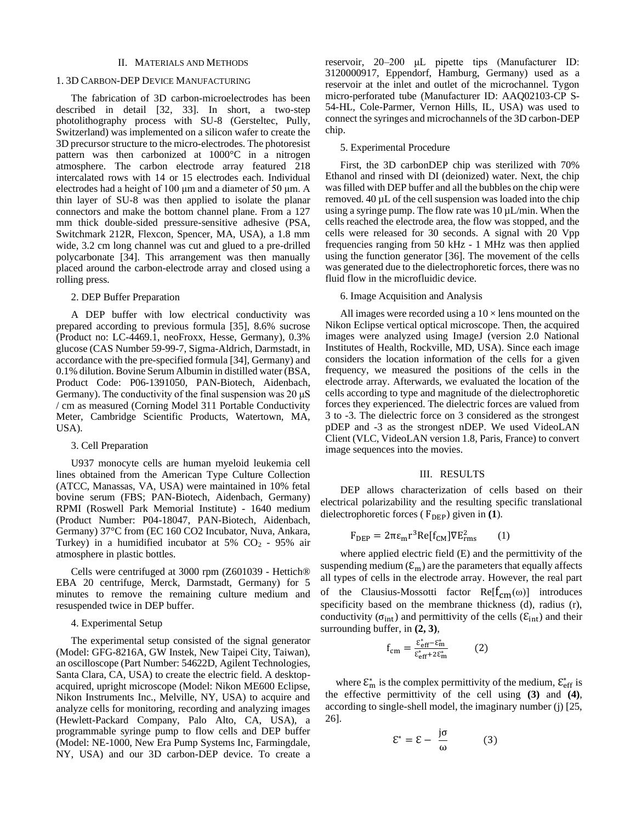#### II. MATERIALS AND METHODS

# 1. 3D CARBON-DEP DEVICE MANUFACTURING

The fabrication of 3D carbon-microelectrodes has been described in detail [32, 33]. In short, a two-step photolithography process with SU-8 (Gersteltec, Pully, Switzerland) was implemented on a silicon wafer to create the 3D precursor structure to the micro-electrodes. The photoresist pattern was then carbonized at 1000°C in a nitrogen atmosphere. The carbon electrode array featured 218 intercalated rows with 14 or 15 electrodes each. Individual electrodes had a height of 100 μm and a diameter of 50 μm. A thin layer of SU-8 was then applied to isolate the planar connectors and make the bottom channel plane. From a 127 mm thick double-sided pressure-sensitive adhesive (PSA, Switchmark 212R, Flexcon, Spencer, MA, USA), a 1.8 mm wide, 3.2 cm long channel was cut and glued to a pre-drilled polycarbonate [34]. This arrangement was then manually placed around the carbon-electrode array and closed using a rolling press.

# 2. DEP Buffer Preparation

A DEP buffer with low electrical conductivity was prepared according to previous formula [35], 8.6% sucrose (Product no: LC-4469.1, neoFroxx, Hesse, Germany), 0.3% glucose (CAS Number 59-99-7, Sigma-Aldrich, Darmstadt, in accordance with the pre-specified formula [34], Germany) and 0.1% dilution. Bovine Serum Albumin in distilled water (BSA, Product Code: P06-1391050, PAN-Biotech, Aidenbach, Germany). The conductivity of the final suspension was  $20 \mu S$ / cm as measured (Corning Model 311 Portable Conductivity Meter, Cambridge Scientific Products, Watertown, MA, USA).

## 3. Cell Preparation

U937 monocyte cells are human myeloid leukemia cell lines obtained from the American Type Culture Collection (ATCC, Manassas, VA, USA) were maintained in 10% fetal bovine serum (FBS; PAN-Biotech, Aidenbach, Germany) RPMI (Roswell Park Memorial Institute) - 1640 medium (Product Number: P04-18047, PAN-Biotech, Aidenbach, Germany) 37°C from (EC 160 CO2 Incubator, Nuva, Ankara, Turkey) in a humidified incubator at  $5\%$  CO<sub>2</sub> - 95% air atmosphere in plastic bottles.

Cells were centrifuged at 3000 rpm (Z601039 - Hettich® EBA 20 centrifuge, Merck, Darmstadt, Germany) for 5 minutes to remove the remaining culture medium and resuspended twice in DEP buffer.

#### 4. Experimental Setup

The experimental setup consisted of the signal generator (Model: GFG-8216A, GW Instek, New Taipei City, Taiwan), an oscilloscope (Part Number: 54622D, Agilent Technologies, Santa Clara, CA, USA) to create the electric field. A desktopacquired, upright microscope (Model: Nikon ME600 Eclipse, Nikon Instruments Inc., Melville, NY, USA) to acquire and analyze cells for monitoring, recording and analyzing images (Hewlett-Packard Company, Palo Alto, CA, USA), a programmable syringe pump to flow cells and DEP buffer (Model: NE-1000, New Era Pump Systems Inc, Farmingdale, NY, USA) and our 3D carbon-DEP device. To create a reservoir, 20–200 μL pipette tips (Manufacturer ID: 3120000917, Eppendorf, Hamburg, Germany) used as a reservoir at the inlet and outlet of the microchannel. Tygon micro-perforated tube (Manufacturer ID: AAQ02103-CP S-54-HL, Cole-Parmer, Vernon Hills, IL, USA) was used to connect the syringes and microchannels of the 3D carbon-DEP chip.

# 5. Experimental Procedure

First, the 3D carbonDEP chip was sterilized with 70% Ethanol and rinsed with DI (deionized) water. Next, the chip was filled with DEP buffer and all the bubbles on the chip were removed. 40 µL of the cell suspension was loaded into the chip using a syringe pump. The flow rate was  $10 \mu L/min$ . When the cells reached the electrode area, the flow was stopped, and the cells were released for 30 seconds. A signal with 20 Vpp frequencies ranging from 50 kHz - 1 MHz was then applied using the function generator [36]. The movement of the cells was generated due to the dielectrophoretic forces, there was no fluid flow in the microfluidic device.

# 6. Image Acquisition and Analysis

All images were recorded using a  $10 \times$  lens mounted on the Nikon Eclipse vertical optical microscope. Then, the acquired images were analyzed using ImageJ (version 2.0 National Institutes of Health, Rockville, MD, USA). Since each image considers the location information of the cells for a given frequency, we measured the positions of the cells in the electrode array. Afterwards, we evaluated the location of the cells according to type and magnitude of the dielectrophoretic forces they experienced. The dielectric forces are valued from 3 to -3. The dielectric force on 3 considered as the strongest pDEP and -3 as the strongest nDEP. We used VideoLAN Client (VLC, VideoLAN version 1.8, Paris, France) to convert image sequences into the movies.

#### III. RESULTS

DEP allows characterization of cells based on their electrical polarizability and the resulting specific translational dielectrophoretic forces ( $F_{\text{DEP}}$ ) given in **(1**).

$$
F_{\text{DEP}} = 2\pi \varepsilon_{\text{m}} r^3 \text{Re}[f_{\text{CM}}] \nabla E_{\text{rms}}^2 \qquad (1)
$$

where applied electric field (E) and the permittivity of the suspending medium  $(\mathcal{E}_m)$  are the parameters that equally affects all types of cells in the electrode array. However, the real part of the Clausius-Mossotti factor  $Re[f_{cm}(\omega)]$  introduces specificity based on the membrane thickness (d), radius (r), conductivity ( $\sigma_{int}$ ) and permittivity of the cells ( $\epsilon_{int}$ ) and their surrounding buffer, in **(2, 3)**,

$$
f_{\rm cm} = \frac{\varepsilon_{\rm eff}^* - \varepsilon_{\rm m}^*}{\varepsilon_{\rm eff}^* + 2\varepsilon_{\rm m}^*} \qquad (2)
$$

where  $\mathcal{E}_{\text{m}}^{*}$  is the complex permittivity of the medium,  $\mathcal{E}_{\text{eff}}^{*}$  is the effective permittivity of the cell using **(3)** and **(4)**, according to single-shell model, the imaginary number (j) [25, 26].

$$
\mathcal{E}^* = \mathcal{E} - \frac{j\sigma}{\omega} \tag{3}
$$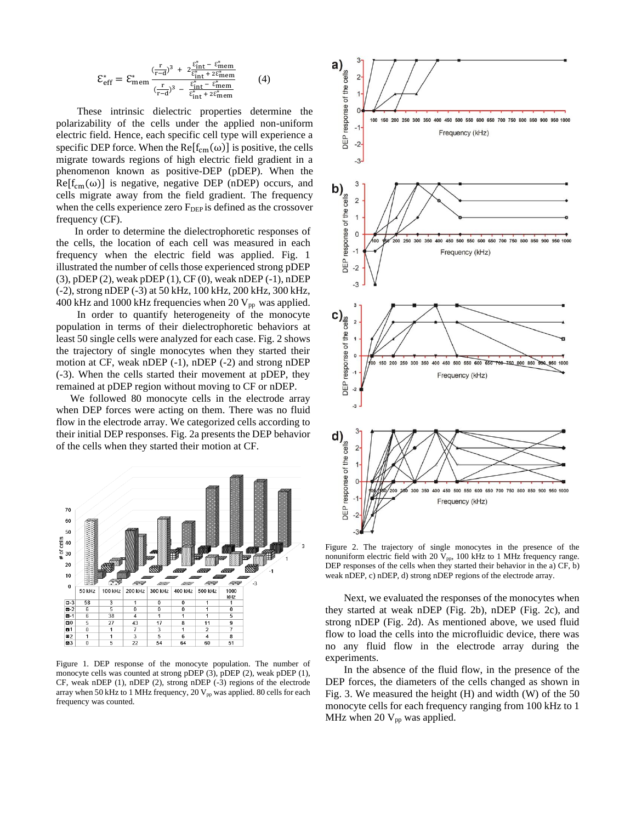$$
\mathcal{E}_{\rm eff}^* = \mathcal{E}_{\rm mem}^* \frac{(\frac{r}{r-d})^3 + 2\frac{\mathcal{E}_{\rm int}^* - \mathcal{E}_{\rm mem}^*}{(\frac{r}{r-d})^3 - \frac{\mathcal{E}_{\rm int}^* - \mathcal{E}_{\rm mem}^*}{\mathcal{E}_{\rm int}^* + 2\mathcal{E}_{\rm mem}^*}}{(4)}
$$
 (4)

These intrinsic dielectric properties determine the polarizability of the cells under the applied non-uniform electric field. Hence, each specific cell type will experience a specific DEP force. When the Re $[f_{cm}(\omega)]$  is positive, the cells migrate towards regions of high electric field gradient in a phenomenon known as positive-DEP (pDEP). When the  $Re[f_{cm}(\omega)]$  is negative, negative DEP (nDEP) occurs, and cells migrate away from the field gradient. The frequency when the cells experience zero  $F_{DEP}$  is defined as the crossover frequency (CF).

In order to determine the dielectrophoretic responses of the cells, the location of each cell was measured in each frequency when the electric field was applied. Fig. 1 illustrated the number of cells those experienced strong pDEP (3), pDEP (2), weak pDEP (1), CF (0), weak nDEP (-1), nDEP (-2), strong nDEP (-3) at 50 kHz, 100 kHz, 200 kHz, 300 kHz, 400 kHz and 1000 kHz frequencies when 20  $V_{pp}$  was applied.

In order to quantify heterogeneity of the monocyte population in terms of their dielectrophoretic behaviors at least 50 single cells were analyzed for each case. Fig. 2 shows the trajectory of single monocytes when they started their motion at CF, weak nDEP (-1), nDEP (-2) and strong nDEP (-3). When the cells started their movement at pDEP, they remained at pDEP region without moving to CF or nDEP.

We followed 80 monocyte cells in the electrode array when DEP forces were acting on them. There was no fluid flow in the electrode array. We categorized cells according to their initial DEP responses. Fig. 2a presents the DEP behavior of the cells when they started their motion at CF.



Figure 1. DEP response of the monocyte population. The number of monocyte cells was counted at strong pDEP (3), pDEP (2), weak pDEP (1), CF, weak nDEP (1), nDEP (2), strong nDEP (-3) regions of the electrode array when 50 kHz to 1 MHz frequency, 20  $V_{pp}$  was applied. 80 cells for each frequency was counted.



Figure 2. The trajectory of single monocytes in the presence of the nonuniform electric field with 20  $V_{pp}$ , 100 kHz to 1 MHz frequency range. DEP responses of the cells when they started their behavior in the a) CF, b) weak nDEP, c) nDEP, d) strong nDEP regions of the electrode array.

Next, we evaluated the responses of the monocytes when they started at weak nDEP (Fig. 2b), nDEP (Fig. 2c), and strong nDEP (Fig. 2d). As mentioned above, we used fluid flow to load the cells into the microfluidic device, there was no any fluid flow in the electrode array during the experiments.

In the absence of the fluid flow, in the presence of the DEP forces, the diameters of the cells changed as shown in Fig. 3. We measured the height (H) and width (W) of the 50 monocyte cells for each frequency ranging from 100 kHz to 1 MHz when 20  $V_{pp}$  was applied.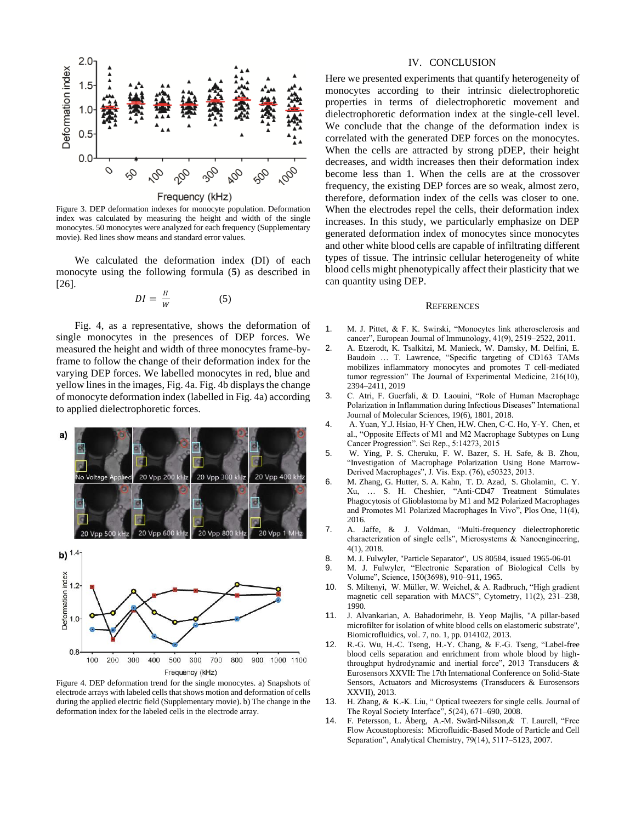

Figure 3. DEP deformation indexes for monocyte population. Deformation index was calculated by measuring the height and width of the single monocytes. 50 monocytes were analyzed for each frequency (Supplementary movie). Red lines show means and standard error values.

We calculated the deformation index (DI) of each monocyte using the following formula (**5**) as described in [26].

$$
DI = \frac{H}{W} \tag{5}
$$

Fig. 4, as a representative, shows the deformation of single monocytes in the presences of DEP forces. We measured the height and width of three monocytes frame-byframe to follow the change of their deformation index for the varying DEP forces. We labelled monocytes in red, blue and yellow lines in the images, Fig. 4a. Fig. 4b displays the change of monocyte deformation index (labelled in Fig. 4a) according to applied dielectrophoretic forces.





Figure 4. DEP deformation trend for the single monocytes. a) Snapshots of electrode arrays with labeled cells that shows motion and deformation of cells during the applied electric field (Supplementary movie). b) The change in the deformation index for the labeled cells in the electrode array.

#### IV. CONCLUSION

Here we presented experiments that quantify heterogeneity of monocytes according to their intrinsic dielectrophoretic properties in terms of dielectrophoretic movement and dielectrophoretic deformation index at the single-cell level. We conclude that the change of the deformation index is correlated with the generated DEP forces on the monocytes. When the cells are attracted by strong pDEP, their height decreases, and width increases then their deformation index become less than 1. When the cells are at the crossover frequency, the existing DEP forces are so weak, almost zero, therefore, deformation index of the cells was closer to one. When the electrodes repel the cells, their deformation index increases. In this study, we particularly emphasize on DEP generated deformation index of monocytes since monocytes and other white blood cells are capable of infiltrating different types of tissue. The intrinsic cellular heterogeneity of white blood cells might phenotypically affect their plasticity that we can quantity using DEP.

#### **REFERENCES**

- 1. M. J. Pittet, & F. K. Swirski, "Monocytes link atherosclerosis and cancer", European Journal of Immunology, 41(9), 2519–2522, 2011.
- 2. A. Etzerodt, K. Tsalkitzi, M. Manieck, W. Damsky, M. Delfini, E. Baudoin … T. Lawrence, "Specific targeting of CD163 TAMs mobilizes inflammatory monocytes and promotes T cell-mediated tumor regression" The Journal of Experimental Medicine, 216(10), 2394–2411, 2019
- 3. C. Atri, F. Guerfali, & D. Laouini, "Role of Human Macrophage Polarization in Inflammation during Infectious Diseases" International Journal of Molecular Sciences, 19(6), 1801, 2018.
- 4. A. Yuan, Y.J. Hsiao, H-Y Chen, H.W. Chen, C-C. Ho, Y-Y. Chen, et al., "Opposite Effects of M1 and M2 Macrophage Subtypes on Lung Cancer Progression". Sci Rep., 5:14273, 2015
- 5. W. Ying, P. S. Cheruku, F. W. Bazer, S. H. Safe, & B. Zhou, "Investigation of Macrophage Polarization Using Bone Marrow-Derived Macrophages", J. Vis. Exp. (76), e50323, 2013.
- 6. M. Zhang, G. Hutter, S. A. Kahn, T. D. Azad, S. Gholamin, C. Y. Xu, … S. H. Cheshier, "Anti-CD47 Treatment Stimulates Phagocytosis of Glioblastoma by M1 and M2 Polarized Macrophages and Promotes M1 Polarized Macrophages In Vivo", Plos One, 11(4), 2016.
- 7. A. Jaffe, & J. Voldman, "Multi-frequency dielectrophoretic characterization of single cells", Microsystems & Nanoengineering, 4(1), 2018.
- 8. M. J. Fulwyler, "Particle Separator", US 80584, issued 1965-06-01
- 9. M. J. Fulwyler, "Electronic Separation of Biological Cells by Volume", Science, 150(3698), 910–911, 1965.
- 10. S. Miltenyi, W. Müller, W. Weichel, & A. Radbruch, "High gradient magnetic cell separation with MACS", Cytometry, 11(2), 231–238, 1990.
- 11. J. Alvankarian, A. Bahadorimehr, B. Yeop Majlis, "A pillar-based microfilter for isolation of white blood cells on elastomeric substrate", Biomicrofluidics, vol. 7, no. 1, pp. 014102, 2013.
- 12. R.-G. Wu, H.-C. Tseng, H.-Y. Chang, & F.-G. Tseng, "Label-free blood cells separation and enrichment from whole blood by highthroughput hydrodynamic and inertial force", 2013 Transducers & Eurosensors XXVII: The 17th International Conference on Solid-State Sensors, Actuators and Microsystems (Transducers & Eurosensors XXVII), 2013.
- 13. H. Zhang, & K.-K. Liu, " Optical tweezers for single cells. Journal of The Royal Society Interface", 5(24), 671–690, 2008.
- 14. F. Petersson, L. Åberg, A.-M. Swärd-Nilsson,& T. Laurell, "Free Flow Acoustophoresis: Microfluidic-Based Mode of Particle and Cell Separation", Analytical Chemistry, 79(14), 5117–5123, 2007.